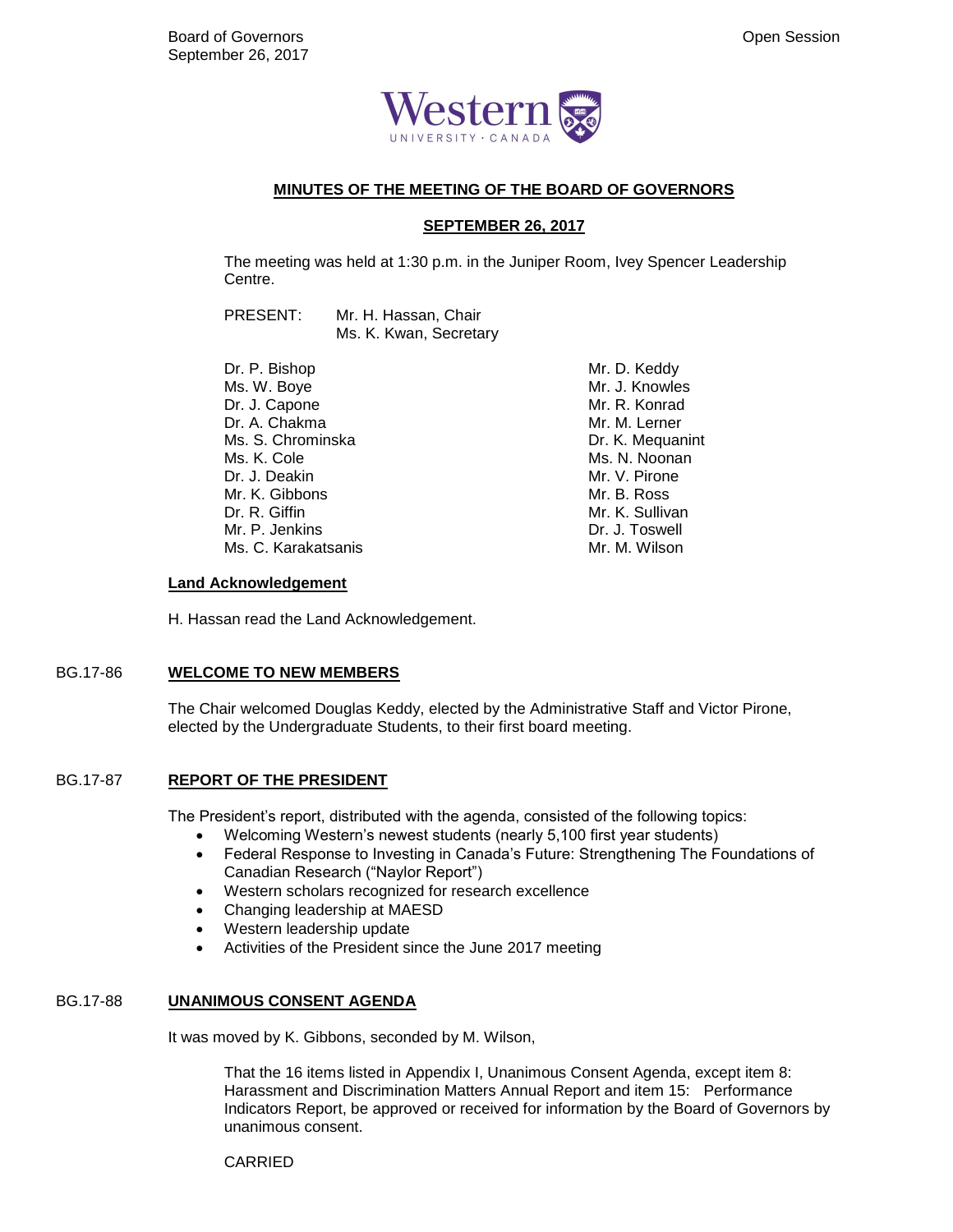

## **MINUTES OF THE MEETING OF THE BOARD OF GOVERNORS**

## **SEPTEMBER 26, 2017**

The meeting was held at 1:30 p.m. in the Juniper Room, Ivey Spencer Leadership Centre.

PRESENT: Mr. H. Hassan, Chair Ms. K. Kwan, Secretary

Dr. P. Bishop Ms. W. Boye Dr. J. Capone Dr. A. Chakma Ms. S. Chrominska Ms. K. Cole Dr. J. Deakin Mr. K. Gibbons Dr. R. Giffin Mr. P. Jenkins Ms. C. Karakatsanis Mr. D. Keddy Mr. J. Knowles Mr. R. Konrad Mr. M. Lerner Dr. K. Mequanint Ms. N. Noonan Mr. V. Pirone Mr. B. Ross Mr. K. Sullivan Dr. J. Toswell Mr. M. Wilson

### **Land Acknowledgement**

H. Hassan read the Land Acknowledgement.

## BG.17-86 **WELCOME TO NEW MEMBERS**

The Chair welcomed Douglas Keddy, elected by the Administrative Staff and Victor Pirone, elected by the Undergraduate Students, to their first board meeting.

## BG.17-87 **REPORT OF THE PRESIDENT**

The President's report, distributed with the agenda, consisted of the following topics:

- Welcoming Western's newest students (nearly 5,100 first year students)
- Federal Response to Investing in Canada's Future: Strengthening The Foundations of Canadian Research ("Naylor Report")
- Western scholars recognized for research excellence
- Changing leadership at MAESD
- Western leadership update
- Activities of the President since the June 2017 meeting

## BG.17-88 **UNANIMOUS CONSENT AGENDA**

It was moved by K. Gibbons, seconded by M. Wilson,

That the 16 items listed in Appendix I, Unanimous Consent Agenda, except item 8: Harassment and Discrimination Matters Annual Report and item 15: Performance Indicators Report, be approved or received for information by the Board of Governors by unanimous consent.

CARRIED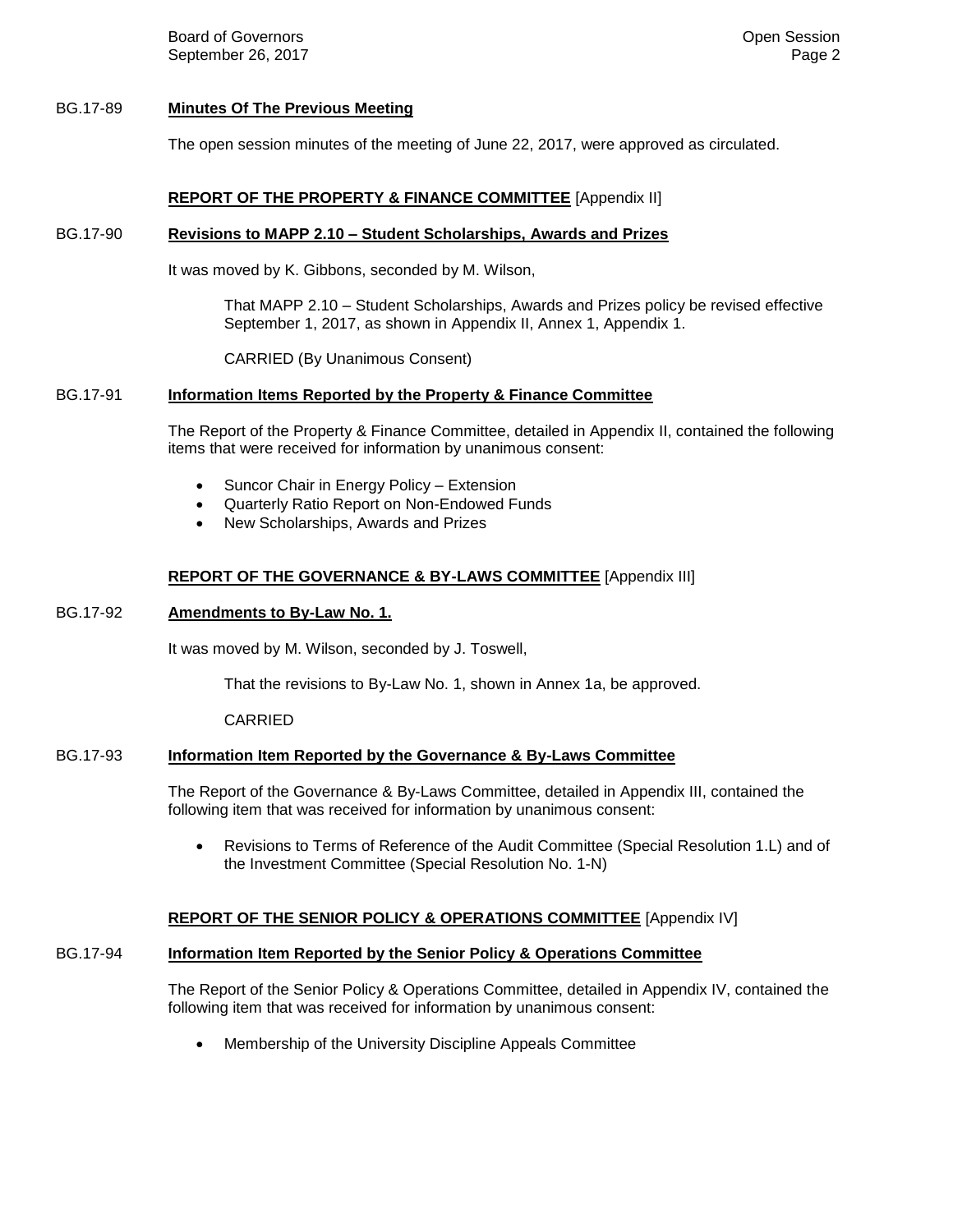**Board of Governors Community Board of Governors Community Community Community Community Community Community Community Community Community Community Community Community Community Community** September 26, 2017 **Page 2** Page 2

### BG.17-89 **Minutes Of The Previous Meeting**

The open session minutes of the meeting of June 22, 2017, were approved as circulated.

## **REPORT OF THE PROPERTY & FINANCE COMMITTEE** [Appendix II]

#### BG.17-90 **Revisions to MAPP 2.10 – Student Scholarships, Awards and Prizes**

It was moved by K. Gibbons, seconded by M. Wilson,

That MAPP 2.10 – Student Scholarships, Awards and Prizes policy be revised effective September 1, 2017, as shown in Appendix II, Annex 1, Appendix 1.

CARRIED (By Unanimous Consent)

### BG.17-91 **Information Items Reported by the Property & Finance Committee**

The Report of the Property & Finance Committee, detailed in Appendix II, contained the following items that were received for information by unanimous consent:

- Suncor Chair in Energy Policy Extension
- Quarterly Ratio Report on Non-Endowed Funds
- New Scholarships, Awards and Prizes

## **REPORT OF THE GOVERNANCE & BY-LAWS COMMITTEE** [Appendix III]

#### BG.17-92 **Amendments to By-Law No. 1.**

It was moved by M. Wilson, seconded by J. Toswell,

That the revisions to By-Law No. 1, shown in Annex 1a, be approved.

CARRIED

# BG.17-93 **Information Item Reported by the Governance & By-Laws Committee**

The Report of the Governance & By-Laws Committee, detailed in Appendix III, contained the following item that was received for information by unanimous consent:

 Revisions to Terms of Reference of the Audit Committee (Special Resolution 1.L) and of the Investment Committee (Special Resolution No. 1-N)

# **REPORT OF THE SENIOR POLICY & OPERATIONS COMMITTEE** [Appendix IV]

# BG.17-94 **Information Item Reported by the Senior Policy & Operations Committee**

The Report of the Senior Policy & Operations Committee, detailed in Appendix IV, contained the following item that was received for information by unanimous consent:

Membership of the University Discipline Appeals Committee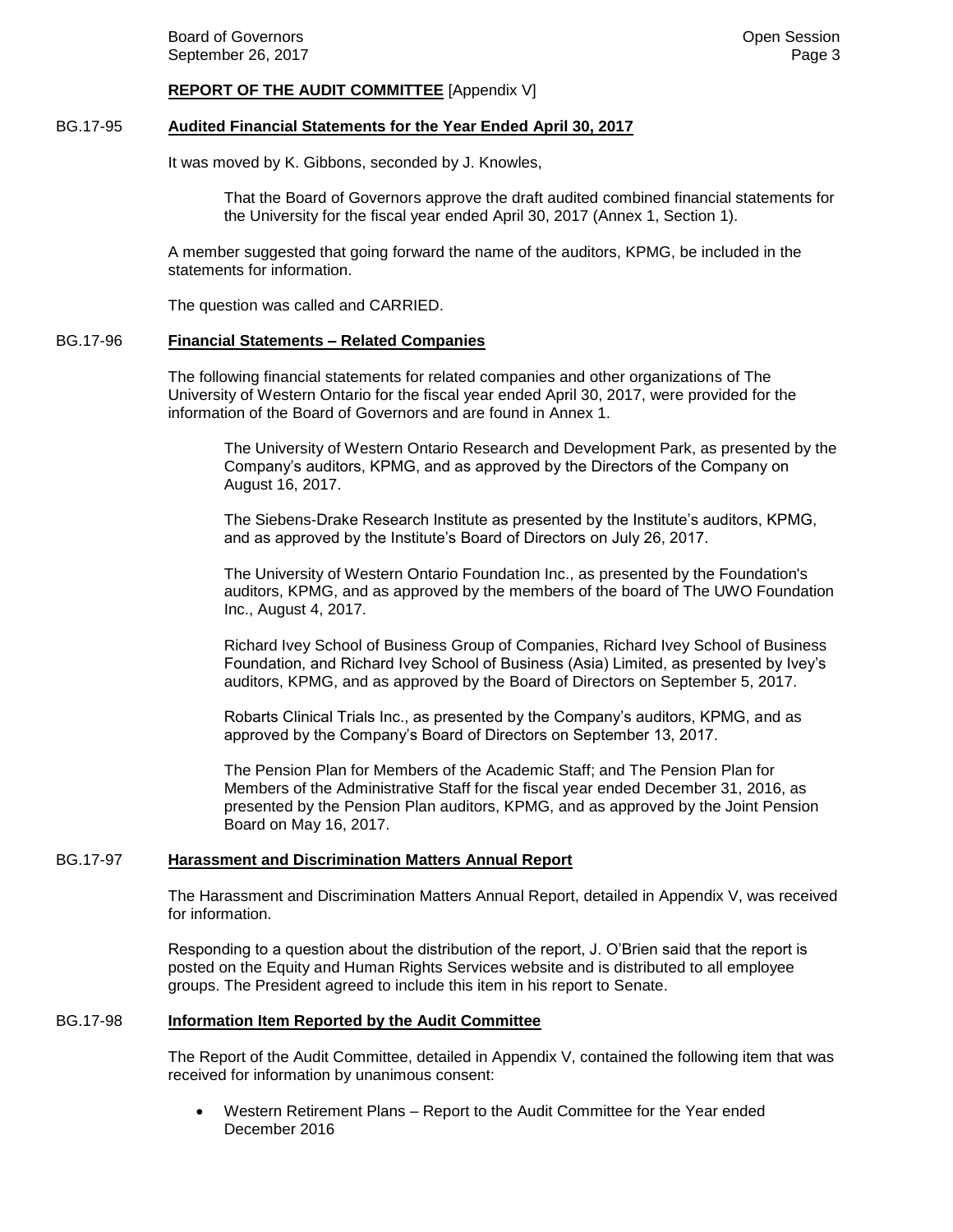#### **REPORT OF THE AUDIT COMMITTEE** [Appendix V]

#### BG.17-95 **Audited Financial Statements for the Year Ended April 30, 2017**

It was moved by K. Gibbons, seconded by J. Knowles,

That the Board of Governors approve the draft audited combined financial statements for the University for the fiscal year ended April 30, 2017 (Annex 1, Section 1).

A member suggested that going forward the name of the auditors, KPMG, be included in the statements for information.

The question was called and CARRIED.

#### BG.17-96 **Financial Statements – Related Companies**

The following financial statements for related companies and other organizations of The University of Western Ontario for the fiscal year ended April 30, 2017, were provided for the information of the Board of Governors and are found in Annex 1.

The University of Western Ontario Research and Development Park, as presented by the Company's auditors, KPMG, and as approved by the Directors of the Company on August 16, 2017.

The Siebens-Drake Research Institute as presented by the Institute's auditors, KPMG, and as approved by the Institute's Board of Directors on July 26, 2017.

The University of Western Ontario Foundation Inc., as presented by the Foundation's auditors, KPMG, and as approved by the members of the board of The UWO Foundation Inc., August 4, 2017.

Richard Ivey School of Business Group of Companies, Richard Ivey School of Business Foundation, and Richard Ivey School of Business (Asia) Limited, as presented by Ivey's auditors, KPMG, and as approved by the Board of Directors on September 5, 2017.

Robarts Clinical Trials Inc., as presented by the Company's auditors, KPMG, and as approved by the Company's Board of Directors on September 13, 2017.

The Pension Plan for Members of the Academic Staff; and The Pension Plan for Members of the Administrative Staff for the fiscal year ended December 31, 2016, as presented by the Pension Plan auditors, KPMG, and as approved by the Joint Pension Board on May 16, 2017.

#### BG.17-97 **Harassment and Discrimination Matters Annual Report**

The Harassment and Discrimination Matters Annual Report, detailed in Appendix V, was received for information.

Responding to a question about the distribution of the report, J. O'Brien said that the report is posted on the Equity and Human Rights Services website and is distributed to all employee groups. The President agreed to include this item in his report to Senate.

## BG.17-98 **Information Item Reported by the Audit Committee**

The Report of the Audit Committee, detailed in Appendix V, contained the following item that was received for information by unanimous consent:

 Western Retirement Plans – Report to the Audit Committee for the Year ended December 2016